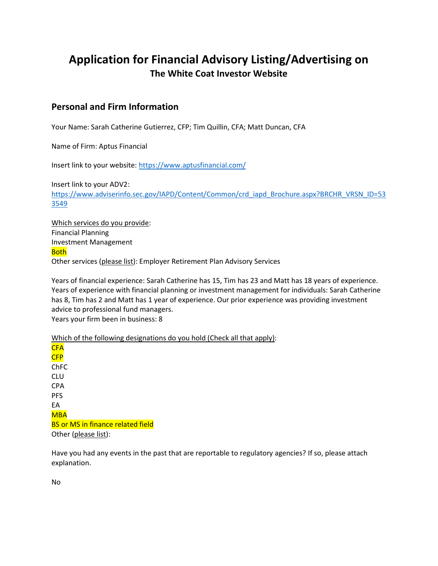# Application for Financial Advisory Listing/Advertising on The White Coat Investor Website

# Personal and Firm Information

Your Name: Sarah Catherine Gutierrez, CFP; Tim Quillin, CFA; Matt Duncan, CFA

Name of Firm: Aptus Financial

Insert link to your website: https://www.aptusfinancial.com/

Insert link to your ADV2: https://www.adviserinfo.sec.gov/IAPD/Content/Common/crd\_iapd\_Brochure.aspx?BRCHR\_VRSN\_ID=53 3549

Which services do you provide: Financial Planning Investment Management **Both** Other services (please list): Employer Retirement Plan Advisory Services

Years of financial experience: Sarah Catherine has 15, Tim has 23 and Matt has 18 years of experience. Years of experience with financial planning or investment management for individuals: Sarah Catherine has 8, Tim has 2 and Matt has 1 year of experience. Our prior experience was providing investment advice to professional fund managers. Years your firm been in business: 8

Which of the following designations do you hold (Check all that apply):

CFA CFP ChFC CLU CPA PFS EA MBA BS or MS in finance related field Other (please list):

Have you had any events in the past that are reportable to regulatory agencies? If so, please attach explanation.

No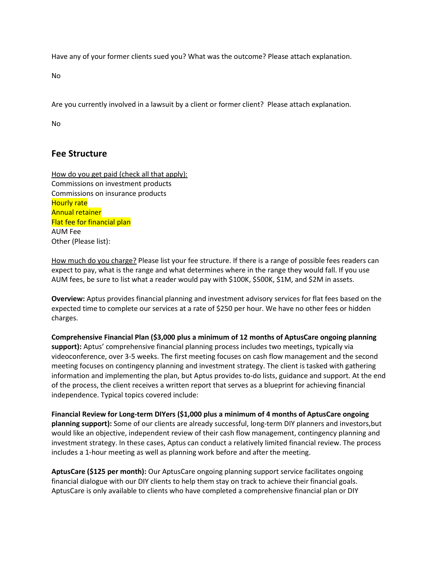Have any of your former clients sued you? What was the outcome? Please attach explanation.

No

Are you currently involved in a lawsuit by a client or former client? Please attach explanation.

No

# Fee Structure

How do you get paid (check all that apply): Commissions on investment products Commissions on insurance products Hourly rate Annual retainer Flat fee for financial plan AUM Fee Other (Please list):

How much do you charge? Please list your fee structure. If there is a range of possible fees readers can expect to pay, what is the range and what determines where in the range they would fall. If you use AUM fees, be sure to list what a reader would pay with \$100K, \$500K, \$1M, and \$2M in assets.

Overview: Aptus provides financial planning and investment advisory services for flat fees based on the expected time to complete our services at a rate of \$250 per hour. We have no other fees or hidden charges.

Comprehensive Financial Plan (\$3,000 plus a minimum of 12 months of AptusCare ongoing planning support): Aptus' comprehensive financial planning process includes two meetings, typically via videoconference, over 3-5 weeks. The first meeting focuses on cash flow management and the second meeting focuses on contingency planning and investment strategy. The client is tasked with gathering information and implementing the plan, but Aptus provides to-do lists, guidance and support. At the end of the process, the client receives a written report that serves as a blueprint for achieving financial independence. Typical topics covered include:

Financial Review for Long-term DIYers (\$1,000 plus a minimum of 4 months of AptusCare ongoing planning support): Some of our clients are already successful, long-term DIY planners and investors,but would like an objective, independent review of their cash flow management, contingency planning and investment strategy. In these cases, Aptus can conduct a relatively limited financial review. The process includes a 1-hour meeting as well as planning work before and after the meeting.

AptusCare (\$125 per month): Our AptusCare ongoing planning support service facilitates ongoing financial dialogue with our DIY clients to help them stay on track to achieve their financial goals. AptusCare is only available to clients who have completed a comprehensive financial plan or DIY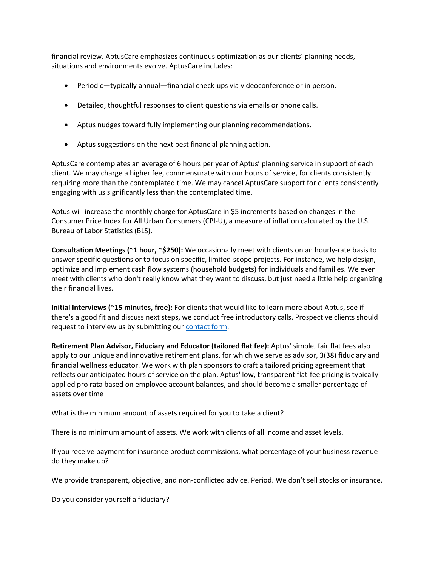financial review. AptusCare emphasizes continuous optimization as our clients' planning needs, situations and environments evolve. AptusCare includes:

- Periodic—typically annual—financial check-ups via videoconference or in person.
- Detailed, thoughtful responses to client questions via emails or phone calls.
- Aptus nudges toward fully implementing our planning recommendations.
- Aptus suggestions on the next best financial planning action.

AptusCare contemplates an average of 6 hours per year of Aptus' planning service in support of each client. We may charge a higher fee, commensurate with our hours of service, for clients consistently requiring more than the contemplated time. We may cancel AptusCare support for clients consistently engaging with us significantly less than the contemplated time.

Aptus will increase the monthly charge for AptusCare in \$5 increments based on changes in the Consumer Price Index for All Urban Consumers (CPI-U), a measure of inflation calculated by the U.S. Bureau of Labor Statistics (BLS).

Consultation Meetings (~1 hour, ~\$250): We occasionally meet with clients on an hourly-rate basis to answer specific questions or to focus on specific, limited-scope projects. For instance, we help design, optimize and implement cash flow systems (household budgets) for individuals and families. We even meet with clients who don't really know what they want to discuss, but just need a little help organizing their financial lives.

Initial Interviews (~15 minutes, free): For clients that would like to learn more about Aptus, see if there's a good fit and discuss next steps, we conduct free introductory calls. Prospective clients should request to interview us by submitting our contact form.

Retirement Plan Advisor, Fiduciary and Educator (tailored flat fee): Aptus' simple, fair flat fees also apply to our unique and innovative retirement plans, for which we serve as advisor, 3(38) fiduciary and financial wellness educator. We work with plan sponsors to craft a tailored pricing agreement that reflects our anticipated hours of service on the plan. Aptus' low, transparent flat-fee pricing is typically applied pro rata based on employee account balances, and should become a smaller percentage of assets over time

What is the minimum amount of assets required for you to take a client?

There is no minimum amount of assets. We work with clients of all income and asset levels.

If you receive payment for insurance product commissions, what percentage of your business revenue do they make up?

We provide transparent, objective, and non-conflicted advice. Period. We don't sell stocks or insurance.

Do you consider yourself a fiduciary?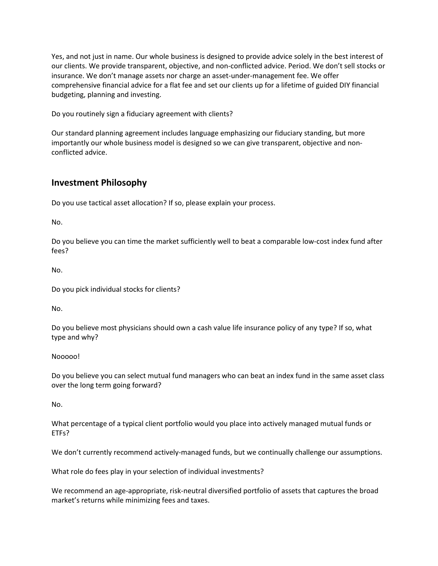Yes, and not just in name. Our whole business is designed to provide advice solely in the best interest of our clients. We provide transparent, objective, and non-conflicted advice. Period. We don't sell stocks or insurance. We don't manage assets nor charge an asset-under-management fee. We offer comprehensive financial advice for a flat fee and set our clients up for a lifetime of guided DIY financial budgeting, planning and investing.

Do you routinely sign a fiduciary agreement with clients?

Our standard planning agreement includes language emphasizing our fiduciary standing, but more importantly our whole business model is designed so we can give transparent, objective and nonconflicted advice.

### Investment Philosophy

Do you use tactical asset allocation? If so, please explain your process.

No.

Do you believe you can time the market sufficiently well to beat a comparable low-cost index fund after fees?

No.

Do you pick individual stocks for clients?

No.

Do you believe most physicians should own a cash value life insurance policy of any type? If so, what type and why?

Nooooo!

Do you believe you can select mutual fund managers who can beat an index fund in the same asset class over the long term going forward?

No.

What percentage of a typical client portfolio would you place into actively managed mutual funds or ETFs?

We don't currently recommend actively-managed funds, but we continually challenge our assumptions.

What role do fees play in your selection of individual investments?

We recommend an age-appropriate, risk-neutral diversified portfolio of assets that captures the broad market's returns while minimizing fees and taxes.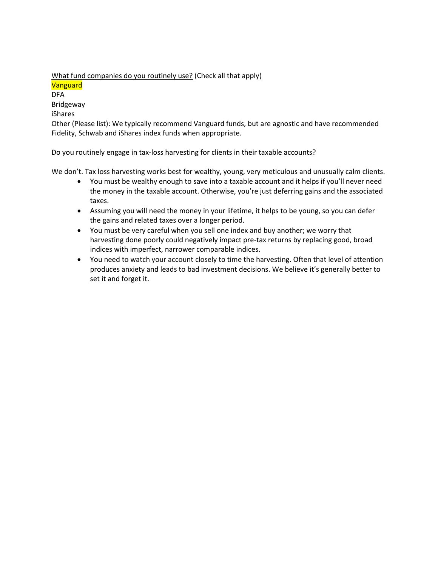What fund companies do you routinely use? (Check all that apply) **Vanguard** DFA Bridgeway iShares Other (Please list): We typically recommend Vanguard funds, but are agnostic and have recommended Fidelity, Schwab and iShares index funds when appropriate.

Do you routinely engage in tax-loss harvesting for clients in their taxable accounts?

We don't. Tax loss harvesting works best for wealthy, young, very meticulous and unusually calm clients.

- You must be wealthy enough to save into a taxable account and it helps if you'll never need the money in the taxable account. Otherwise, you're just deferring gains and the associated taxes.
- Assuming you will need the money in your lifetime, it helps to be young, so you can defer the gains and related taxes over a longer period.
- You must be very careful when you sell one index and buy another; we worry that harvesting done poorly could negatively impact pre-tax returns by replacing good, broad indices with imperfect, narrower comparable indices.
- You need to watch your account closely to time the harvesting. Often that level of attention produces anxiety and leads to bad investment decisions. We believe it's generally better to set it and forget it.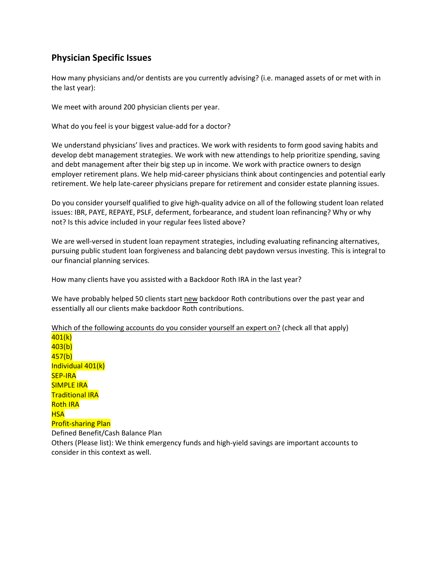# Physician Specific Issues

How many physicians and/or dentists are you currently advising? (i.e. managed assets of or met with in the last year):

We meet with around 200 physician clients per year.

What do you feel is your biggest value-add for a doctor?

We understand physicians' lives and practices. We work with residents to form good saving habits and develop debt management strategies. We work with new attendings to help prioritize spending, saving and debt management after their big step up in income. We work with practice owners to design employer retirement plans. We help mid-career physicians think about contingencies and potential early retirement. We help late-career physicians prepare for retirement and consider estate planning issues.

Do you consider yourself qualified to give high-quality advice on all of the following student loan related issues: IBR, PAYE, REPAYE, PSLF, deferment, forbearance, and student loan refinancing? Why or why not? Is this advice included in your regular fees listed above?

We are well-versed in student loan repayment strategies, including evaluating refinancing alternatives, pursuing public student loan forgiveness and balancing debt paydown versus investing. This is integral to our financial planning services.

How many clients have you assisted with a Backdoor Roth IRA in the last year?

We have probably helped 50 clients start new backdoor Roth contributions over the past year and essentially all our clients make backdoor Roth contributions.

Which of the following accounts do you consider yourself an expert on? (check all that apply) 401(k)  $403(b)$ 457(b) Individual 401(k) SEP-IRA SIMPLE IRA Traditional IRA Roth IRA **HSA** Profit-sharing Plan Defined Benefit/Cash Balance Plan Others (Please list): We think emergency funds and high-yield savings are important accounts to consider in this context as well.